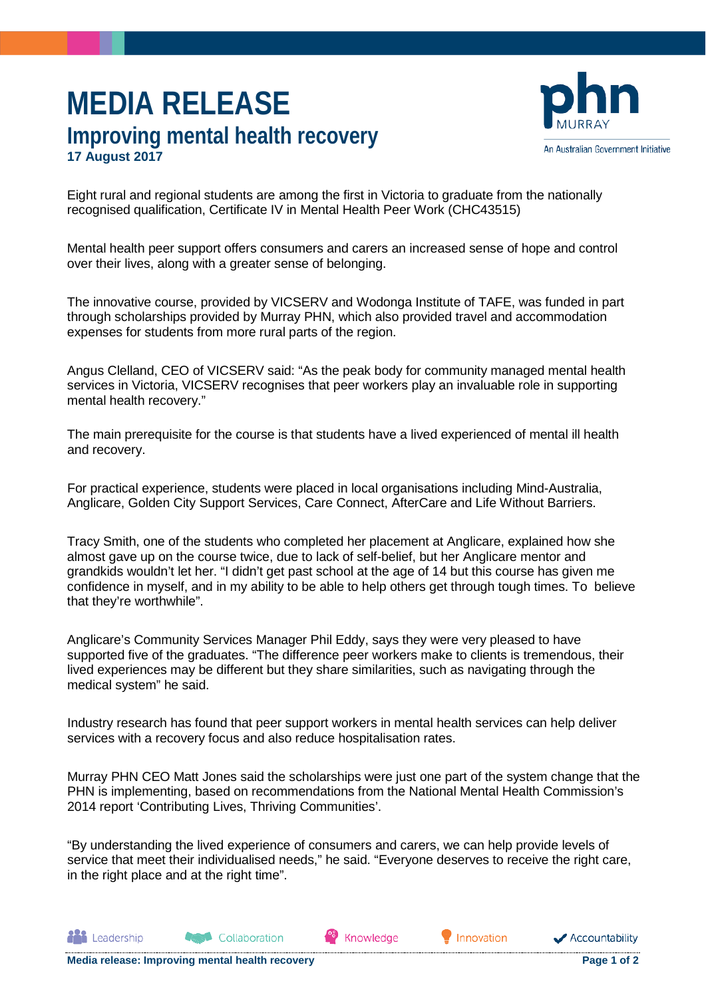## **MEDIA RELEASE Improving mental health recovery 17 August 2017**



Eight rural and regional students are among the first in Victoria to graduate from the nationally recognised qualification, Certificate IV in Mental Health Peer Work (CHC43515)

Mental health peer support offers consumers and carers an increased sense of hope and control over their lives, along with a greater sense of belonging.

The innovative course, provided by VICSERV and Wodonga Institute of TAFE, was funded in part through scholarships provided by Murray PHN, which also provided travel and accommodation expenses for students from more rural parts of the region.

Angus Clelland, CEO of VICSERV said: "As the peak body for community managed mental health services in Victoria, VICSERV recognises that peer workers play an invaluable role in supporting mental health recovery."

The main prerequisite for the course is that students have a lived experienced of mental ill health and recovery.

For practical experience, students were placed in local organisations including Mind-Australia, Anglicare, Golden City Support Services, Care Connect, AfterCare and Life Without Barriers.

Tracy Smith, one of the students who completed her placement at Anglicare, explained how she almost gave up on the course twice, due to lack of self-belief, but her Anglicare mentor and grandkids wouldn't let her. "I didn't get past school at the age of 14 but this course has given me confidence in myself, and in my ability to be able to help others get through tough times. To believe that they're worthwhile".

Anglicare's Community Services Manager Phil Eddy, says they were very pleased to have supported five of the graduates. "The difference peer workers make to clients is tremendous, their lived experiences may be different but they share similarities, such as navigating through the medical system" he said.

Industry research has found that peer support workers in mental health services can help deliver services with a recovery focus and also reduce hospitalisation rates.

Murray PHN CEO Matt Jones said the scholarships were just one part of the system change that the PHN is implementing, based on recommendations from the National Mental Health Commission's 2014 report 'Contributing Lives, Thriving Communities'.

"By understanding the lived experience of consumers and carers, we can help provide levels of service that meet their individualised needs," he said. "Everyone deserves to receive the right care, in the right place and at the right time".

Knowledge

Innovation

Collaboration

**All** Leadership